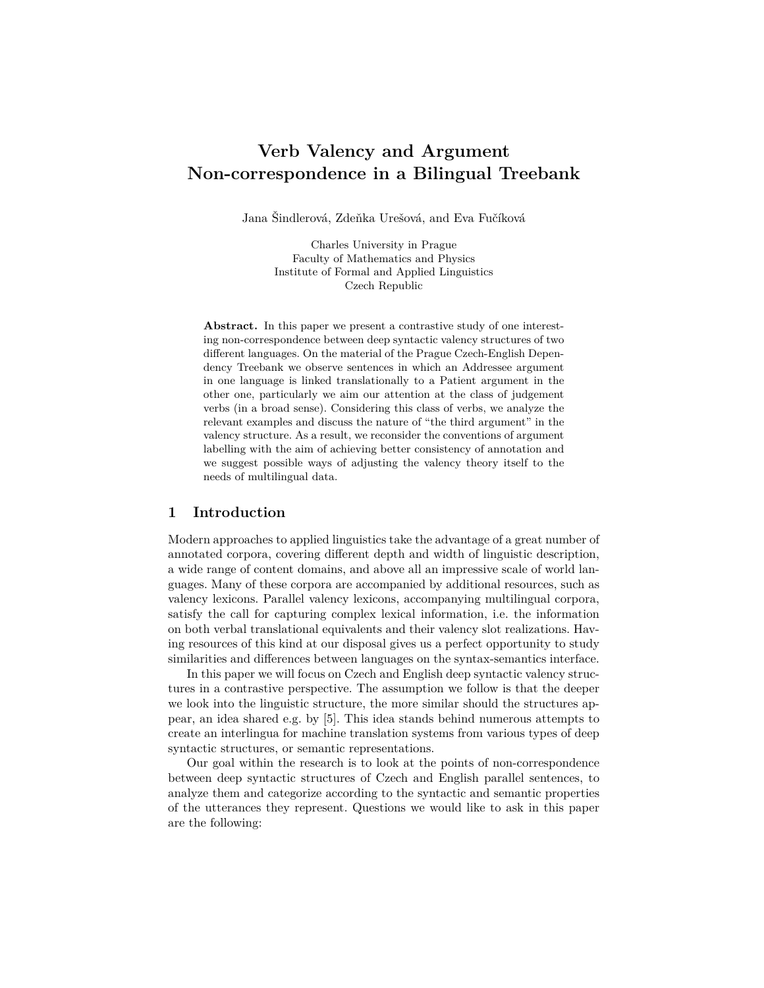# **Verb Valency and Argument Non-correspondence in a Bilingual Treebank**

Jana Šindlerová, Zdeňka Urešová, and Eva Fučíková

Charles University in Prague Faculty of Mathematics and Physics Institute of Formal and Applied Linguistics Czech Republic

**Abstract.** In this paper we present a contrastive study of one interesting non-correspondence between deep syntactic valency structures of two different languages. On the material of the Prague Czech-English Dependency Treebank we observe sentences in which an Addressee argument in one language is linked translationally to a Patient argument in the other one, particularly we aim our attention at the class of judgement verbs (in a broad sense). Considering this class of verbs, we analyze the relevant examples and discuss the nature of "the third argument" in the valency structure. As a result, we reconsider the conventions of argument labelling with the aim of achieving better consistency of annotation and we suggest possible ways of adjusting the valency theory itself to the needs of multilingual data.

## **1 Introduction**

Modern approaches to applied linguistics take the advantage of a great number of annotated corpora, covering different depth and width of linguistic description, a wide range of content domains, and above all an impressive scale of world languages. Many of these corpora are accompanied by additional resources, such as valency lexicons. Parallel valency lexicons, accompanying multilingual corpora, satisfy the call for capturing complex lexical information, i.e. the information on both verbal translational equivalents and their valency slot realizations. Having resources of this kind at our disposal gives us a perfect opportunity to study similarities and differences between languages on the syntax-semantics interface.

In this paper we will focus on Czech and English deep syntactic valency structures in a contrastive perspective. The assumption we follow is that the deeper we look into the linguistic structure, the more similar should the structures appear, an idea shared e.g. by [5]. This idea stands behind numerous attempts to create an interlingua for machine translation systems from various types of deep syntactic structures, or semantic representations.

Our goal within the research is to look at the points of non-correspondence between deep syntactic structures of Czech and English parallel sentences, to analyze them and categorize according to the syntactic and semantic properties of the utterances they represent. Questions we would like to ask in this paper are the following: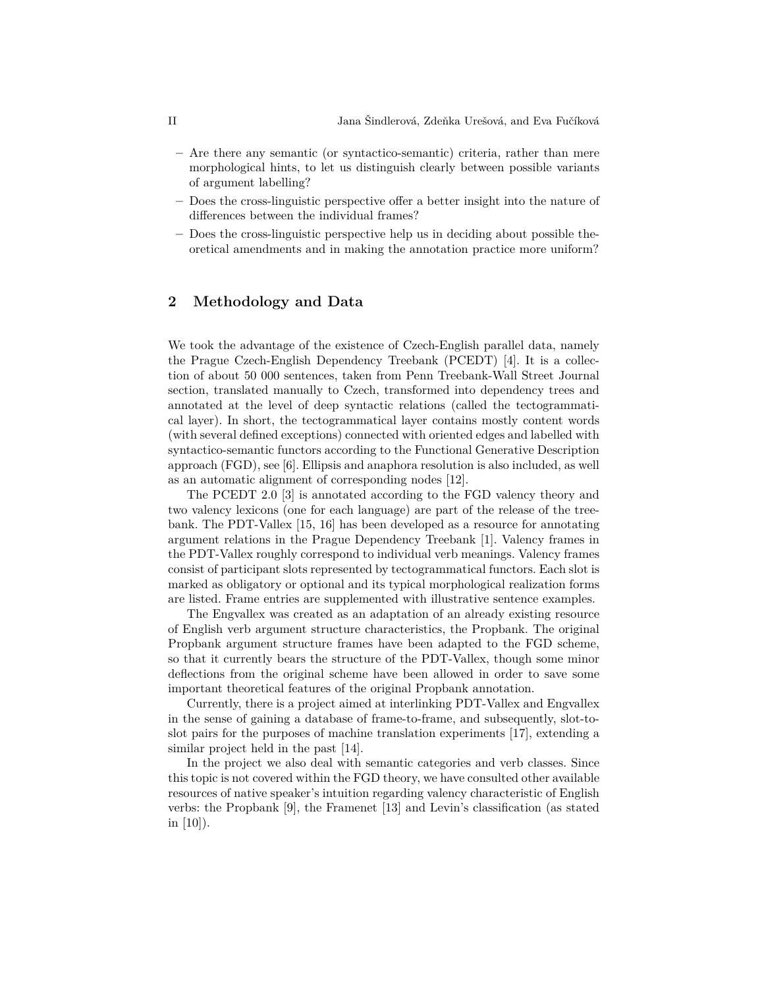- **–** Are there any semantic (or syntactico-semantic) criteria, rather than mere morphological hints, to let us distinguish clearly between possible variants of argument labelling?
- **–** Does the cross-linguistic perspective offer a better insight into the nature of differences between the individual frames?
- **–** Does the cross-linguistic perspective help us in deciding about possible theoretical amendments and in making the annotation practice more uniform?

## **2 Methodology and Data**

We took the advantage of the existence of Czech-English parallel data, namely the Prague Czech-English Dependency Treebank (PCEDT) [4]. It is a collection of about 50 000 sentences, taken from Penn Treebank-Wall Street Journal section, translated manually to Czech, transformed into dependency trees and annotated at the level of deep syntactic relations (called the tectogrammatical layer). In short, the tectogrammatical layer contains mostly content words (with several defined exceptions) connected with oriented edges and labelled with syntactico-semantic functors according to the Functional Generative Description approach (FGD), see [6]. Ellipsis and anaphora resolution is also included, as well as an automatic alignment of corresponding nodes [12].

The PCEDT 2.0 [3] is annotated according to the FGD valency theory and two valency lexicons (one for each language) are part of the release of the treebank. The PDT-Vallex [15, 16] has been developed as a resource for annotating argument relations in the Prague Dependency Treebank [1]. Valency frames in the PDT-Vallex roughly correspond to individual verb meanings. Valency frames consist of participant slots represented by tectogrammatical functors. Each slot is marked as obligatory or optional and its typical morphological realization forms are listed. Frame entries are supplemented with illustrative sentence examples.

The Engvallex was created as an adaptation of an already existing resource of English verb argument structure characteristics, the Propbank. The original Propbank argument structure frames have been adapted to the FGD scheme, so that it currently bears the structure of the PDT-Vallex, though some minor deflections from the original scheme have been allowed in order to save some important theoretical features of the original Propbank annotation.

Currently, there is a project aimed at interlinking PDT-Vallex and Engvallex in the sense of gaining a database of frame-to-frame, and subsequently, slot-toslot pairs for the purposes of machine translation experiments [17], extending a similar project held in the past [14].

In the project we also deal with semantic categories and verb classes. Since this topic is not covered within the FGD theory, we have consulted other available resources of native speaker's intuition regarding valency characteristic of English verbs: the Propbank [9], the Framenet [13] and Levin's classification (as stated in [10]).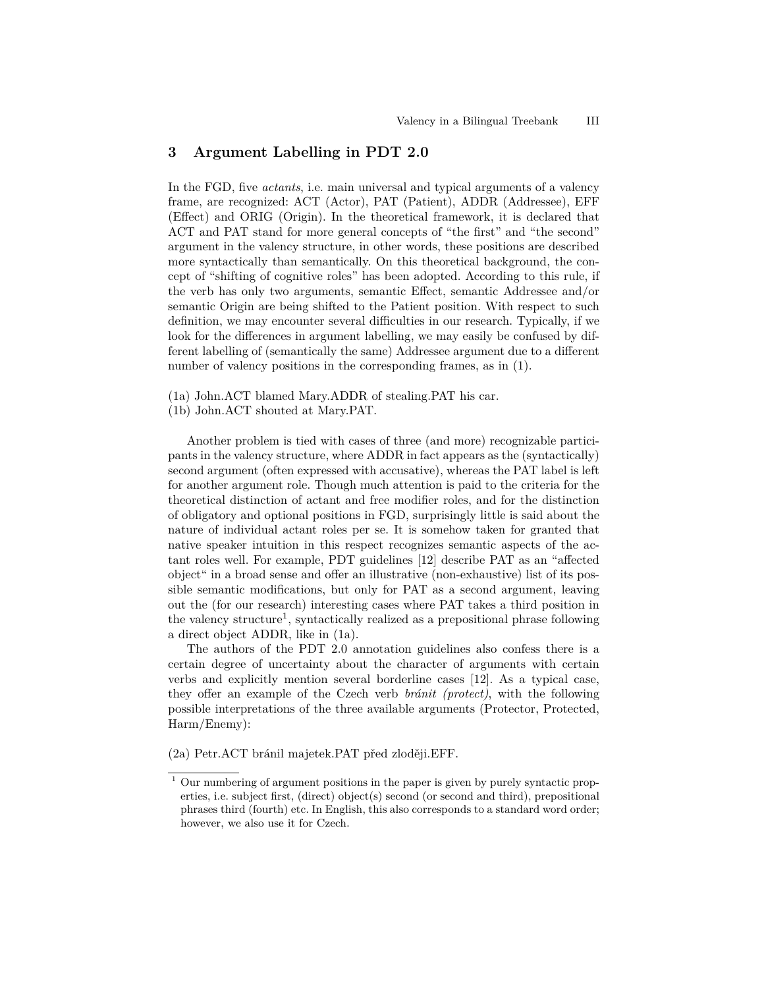## **3 Argument Labelling in PDT 2.0**

In the FGD, five *actants*, i.e. main universal and typical arguments of a valency frame, are recognized: ACT (Actor), PAT (Patient), ADDR (Addressee), EFF (Effect) and ORIG (Origin). In the theoretical framework, it is declared that ACT and PAT stand for more general concepts of "the first" and "the second" argument in the valency structure, in other words, these positions are described more syntactically than semantically. On this theoretical background, the concept of "shifting of cognitive roles" has been adopted. According to this rule, if the verb has only two arguments, semantic Effect, semantic Addressee and/or semantic Origin are being shifted to the Patient position. With respect to such definition, we may encounter several difficulties in our research. Typically, if we look for the differences in argument labelling, we may easily be confused by different labelling of (semantically the same) Addressee argument due to a different number of valency positions in the corresponding frames, as in  $(1)$ .

(1b) John.ACT shouted at Mary.PAT.

Another problem is tied with cases of three (and more) recognizable participants in the valency structure, where ADDR in fact appears as the (syntactically) second argument (often expressed with accusative), whereas the PAT label is left for another argument role. Though much attention is paid to the criteria for the theoretical distinction of actant and free modifier roles, and for the distinction of obligatory and optional positions in FGD, surprisingly little is said about the nature of individual actant roles per se. It is somehow taken for granted that native speaker intuition in this respect recognizes semantic aspects of the actant roles well. For example, PDT guidelines [12] describe PAT as an "affected object" in a broad sense and offer an illustrative (non-exhaustive) list of its possible semantic modifications, but only for PAT as a second argument, leaving out the (for our research) interesting cases where PAT takes a third position in the valency structure<sup>1</sup>, syntactically realized as a prepositional phrase following a direct object ADDR, like in (1a).

The authors of the PDT 2.0 annotation guidelines also confess there is a certain degree of uncertainty about the character of arguments with certain verbs and explicitly mention several borderline cases [12]. As a typical case, they offer an example of the Czech verb *bránit (protect)*, with the following possible interpretations of the three available arguments (Protector, Protected, Harm/Enemy):

(2a) Petr.ACT bránil majetek.PAT před zloději.EFF.

<sup>(1</sup>a) John.ACT blamed Mary.ADDR of stealing.PAT his car.

<sup>1</sup> Our numbering of argument positions in the paper is given by purely syntactic properties, i.e. subject first, (direct) object(s) second (or second and third), prepositional phrases third (fourth) etc. In English, this also corresponds to a standard word order; however, we also use it for Czech.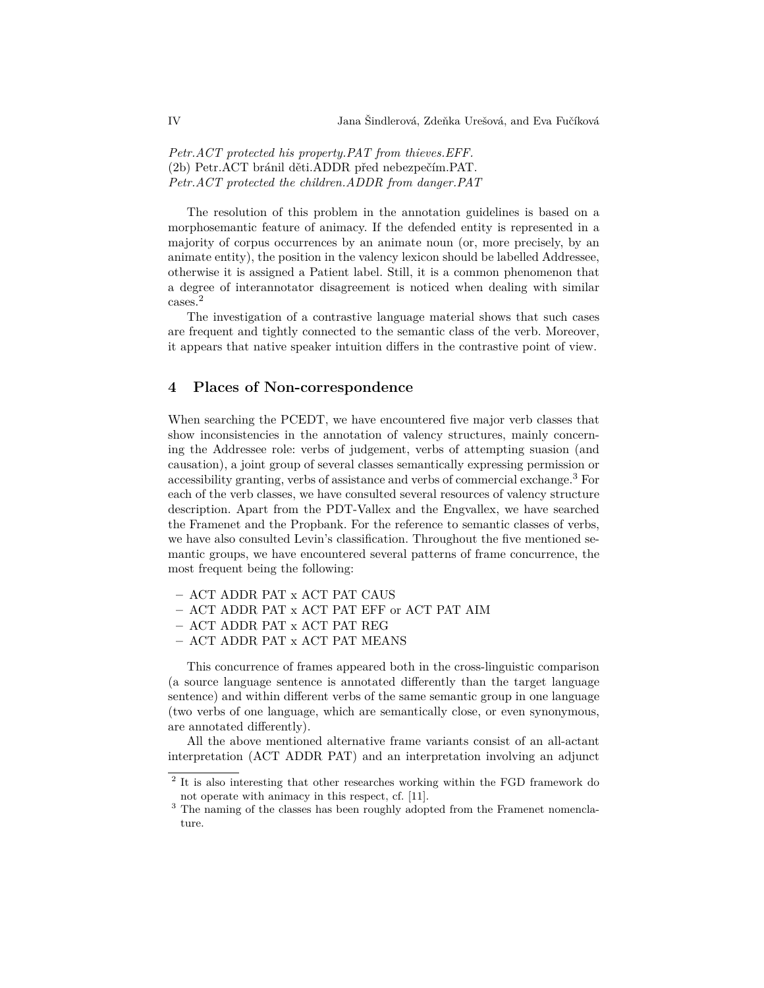*Petr.ACT protected his property.PAT from thieves.EFF.* (2b) Petr.ACT bránil děti.ADDR před nebezpečím.PAT. *Petr.ACT protected the children.ADDR from danger.PAT*

The resolution of this problem in the annotation guidelines is based on a morphosemantic feature of animacy. If the defended entity is represented in a majority of corpus occurrences by an animate noun (or, more precisely, by an animate entity), the position in the valency lexicon should be labelled Addressee, otherwise it is assigned a Patient label. Still, it is a common phenomenon that a degree of interannotator disagreement is noticed when dealing with similar cases.<sup>2</sup>

The investigation of a contrastive language material shows that such cases are frequent and tightly connected to the semantic class of the verb. Moreover, it appears that native speaker intuition differs in the contrastive point of view.

## **4 Places of Non-correspondence**

When searching the PCEDT, we have encountered five major verb classes that show inconsistencies in the annotation of valency structures, mainly concerning the Addressee role: verbs of judgement, verbs of attempting suasion (and causation), a joint group of several classes semantically expressing permission or accessibility granting, verbs of assistance and verbs of commercial exchange.<sup>3</sup> For each of the verb classes, we have consulted several resources of valency structure description. Apart from the PDT-Vallex and the Engvallex, we have searched the Framenet and the Propbank. For the reference to semantic classes of verbs, we have also consulted Levin's classification. Throughout the five mentioned semantic groups, we have encountered several patterns of frame concurrence, the most frequent being the following:

- **–** ACT ADDR PAT x ACT PAT CAUS
- **–** ACT ADDR PAT x ACT PAT EFF or ACT PAT AIM
- **–** ACT ADDR PAT x ACT PAT REG
- **–** ACT ADDR PAT x ACT PAT MEANS

This concurrence of frames appeared both in the cross-linguistic comparison (a source language sentence is annotated differently than the target language sentence) and within different verbs of the same semantic group in one language (two verbs of one language, which are semantically close, or even synonymous, are annotated differently).

All the above mentioned alternative frame variants consist of an all-actant interpretation (ACT ADDR PAT) and an interpretation involving an adjunct

<sup>&</sup>lt;sup>2</sup> It is also interesting that other researches working within the FGD framework do not operate with animacy in this respect, cf. [11].

 $^3$  The naming of the classes has been roughly adopted from the Framenet nomenclature.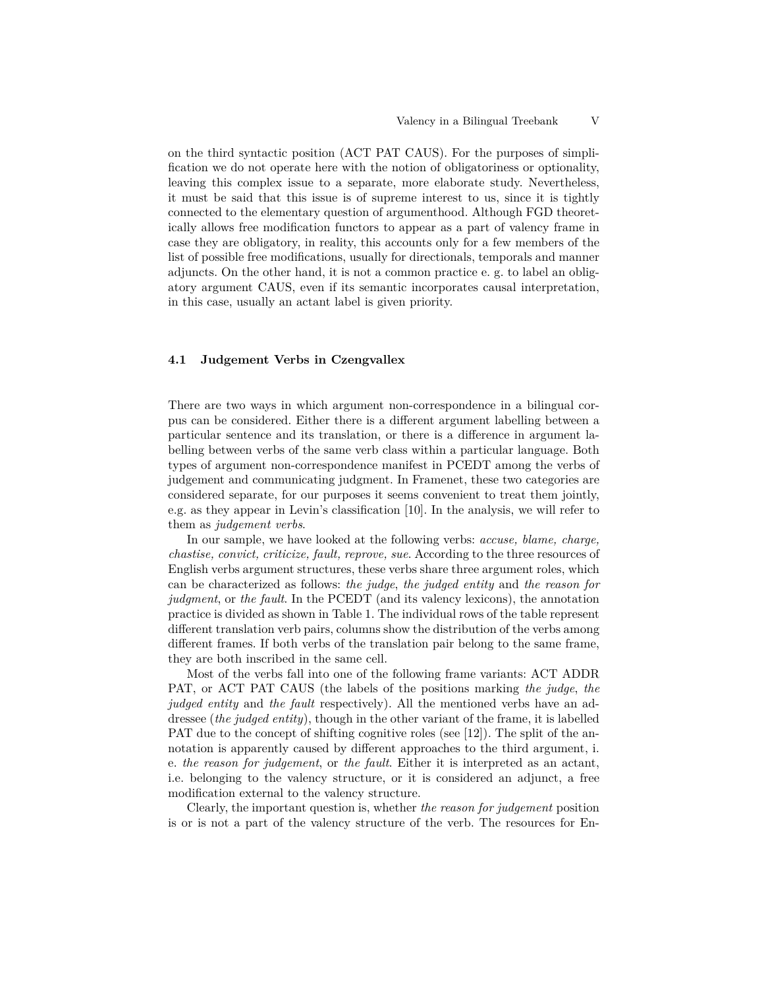on the third syntactic position (ACT PAT CAUS). For the purposes of simplification we do not operate here with the notion of obligatoriness or optionality, leaving this complex issue to a separate, more elaborate study. Nevertheless, it must be said that this issue is of supreme interest to us, since it is tightly connected to the elementary question of argumenthood. Although FGD theoretically allows free modification functors to appear as a part of valency frame in case they are obligatory, in reality, this accounts only for a few members of the list of possible free modifications, usually for directionals, temporals and manner adjuncts. On the other hand, it is not a common practice e. g. to label an obligatory argument CAUS, even if its semantic incorporates causal interpretation, in this case, usually an actant label is given priority.

#### **4.1 Judgement Verbs in Czengvallex**

There are two ways in which argument non-correspondence in a bilingual corpus can be considered. Either there is a different argument labelling between a particular sentence and its translation, or there is a difference in argument labelling between verbs of the same verb class within a particular language. Both types of argument non-correspondence manifest in PCEDT among the verbs of judgement and communicating judgment. In Framenet, these two categories are considered separate, for our purposes it seems convenient to treat them jointly, e.g. as they appear in Levin's classification [10]. In the analysis, we will refer to them as *judgement verbs*.

In our sample, we have looked at the following verbs: *accuse, blame, charge, chastise, convict, criticize, fault, reprove, sue*. According to the three resources of English verbs argument structures, these verbs share three argument roles, which can be characterized as follows: *the judge*, *the judged entity* and *the reason for judgment*, or *the fault*. In the PCEDT (and its valency lexicons), the annotation practice is divided as shown in Table 1. The individual rows of the table represent different translation verb pairs, columns show the distribution of the verbs among different frames. If both verbs of the translation pair belong to the same frame, they are both inscribed in the same cell.

Most of the verbs fall into one of the following frame variants: ACT ADDR PAT, or ACT PAT CAUS (the labels of the positions marking *the judge*, *the judged entity* and *the fault* respectively). All the mentioned verbs have an addressee (*the judged entity*), though in the other variant of the frame, it is labelled PAT due to the concept of shifting cognitive roles (see [12]). The split of the annotation is apparently caused by different approaches to the third argument, i. e. *the reason for judgement*, or *the fault*. Either it is interpreted as an actant, i.e. belonging to the valency structure, or it is considered an adjunct, a free modification external to the valency structure.

Clearly, the important question is, whether *the reason for judgement* position is or is not a part of the valency structure of the verb. The resources for En-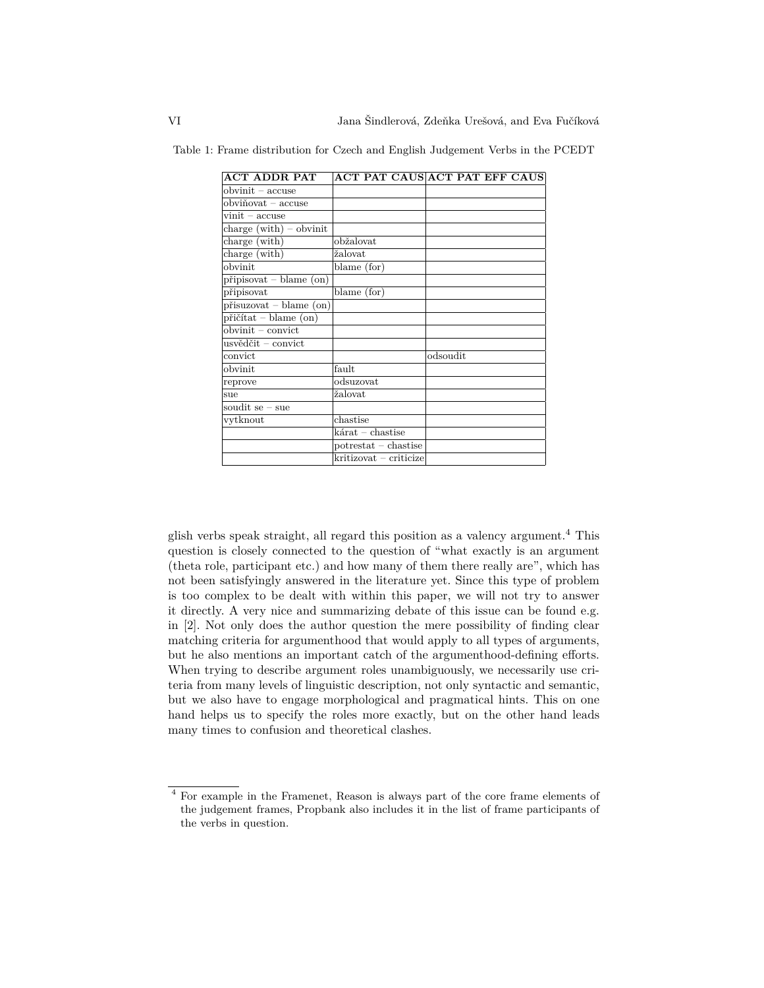| ACT ADDR PAT                     | ACT PAT CAUS ACT PAT EFF CAUS |          |  |  |
|----------------------------------|-------------------------------|----------|--|--|
| $obvinit - accuse$               |                               |          |  |  |
| obviňovat – accuse               |                               |          |  |  |
| $\text{vinit}$ – accuse          |                               |          |  |  |
| charge $(with) - obvinit$        |                               |          |  |  |
| charge (with)                    | obžalovat                     |          |  |  |
| charge (with)                    | žalovat                       |          |  |  |
| obvinit                          | blame (for)                   |          |  |  |
| $pripisovat - blame (on)$        |                               |          |  |  |
| připisovat                       | blame (for)                   |          |  |  |
| $p$ řisuzovat – blame $($ on $)$ |                               |          |  |  |
| přičítat – blame (on)            |                               |          |  |  |
| $obvinit - convict$              |                               |          |  |  |
| usvědčit – convict               |                               |          |  |  |
| convict                          |                               | odsoudit |  |  |
| obvinit                          | fault                         |          |  |  |
| reprove                          | odsuzovat                     |          |  |  |
| sue                              | žalovat                       |          |  |  |
| $s$ oudit se – sue               |                               |          |  |  |
| vytknout                         | chastise                      |          |  |  |
|                                  | $k$ árat – chastise           |          |  |  |
|                                  | $potrestat - characteristic$  |          |  |  |
|                                  | kritizovat – criticize        |          |  |  |
|                                  |                               |          |  |  |

Table 1: Frame distribution for Czech and English Judgement Verbs in the PCEDT

glish verbs speak straight, all regard this position as a valency argument.<sup>4</sup> This question is closely connected to the question of "what exactly is an argument (theta role, participant etc.) and how many of them there really are", which has not been satisfyingly answered in the literature yet. Since this type of problem is too complex to be dealt with within this paper, we will not try to answer it directly. A very nice and summarizing debate of this issue can be found e.g. in [2]. Not only does the author question the mere possibility of finding clear matching criteria for argumenthood that would apply to all types of arguments, but he also mentions an important catch of the argumenthood-defining efforts. When trying to describe argument roles unambiguously, we necessarily use criteria from many levels of linguistic description, not only syntactic and semantic, but we also have to engage morphological and pragmatical hints. This on one hand helps us to specify the roles more exactly, but on the other hand leads many times to confusion and theoretical clashes.

<sup>4</sup> For example in the Framenet, Reason is always part of the core frame elements of the judgement frames, Propbank also includes it in the list of frame participants of the verbs in question.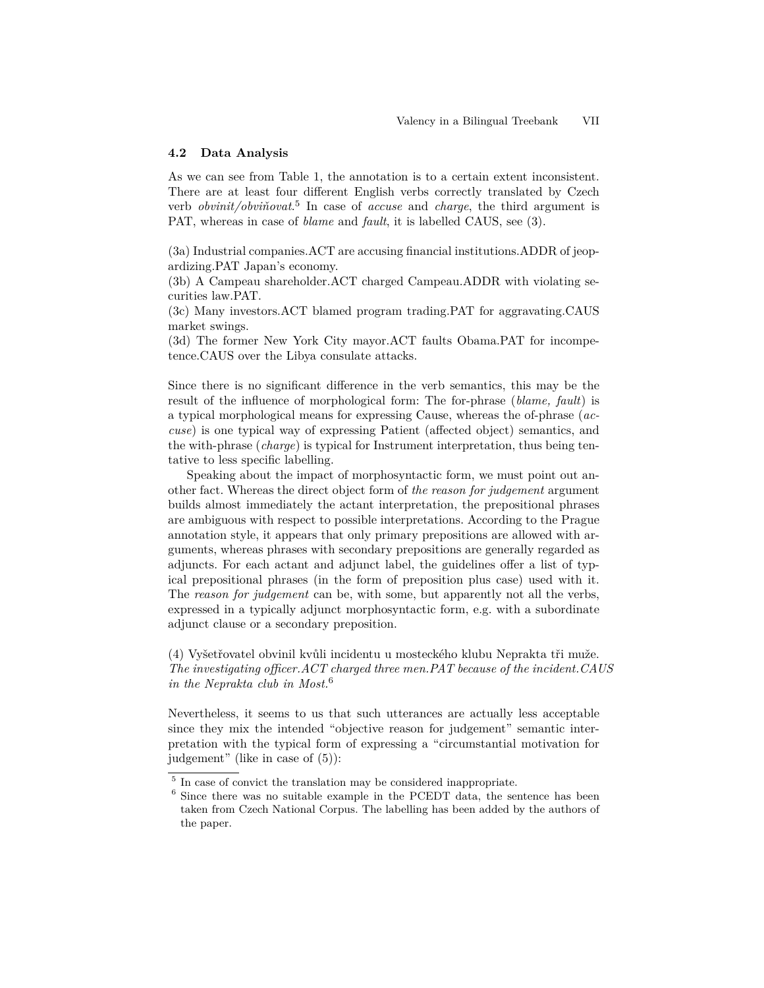#### **4.2 Data Analysis**

As we can see from Table 1, the annotation is to a certain extent inconsistent. There are at least four different English verbs correctly translated by Czech verb *obvinit/obviňovat*. 5 In case of *accuse* and *charge*, the third argument is PAT, whereas in case of *blame* and *fault*, it is labelled CAUS, see (3).

(3a) Industrial companies.ACT are accusing financial institutions.ADDR of jeopardizing.PAT Japan's economy.

(3b) A Campeau shareholder.ACT charged Campeau.ADDR with violating securities law.PAT.

(3c) Many investors.ACT blamed program trading.PAT for aggravating.CAUS market swings.

(3d) The former New York City mayor.ACT faults Obama.PAT for incompetence.CAUS over the Libya consulate attacks.

Since there is no significant difference in the verb semantics, this may be the result of the influence of morphological form: The for-phrase (*blame, fault*) is a typical morphological means for expressing Cause, whereas the of-phrase (*accuse*) is one typical way of expressing Patient (affected object) semantics, and the with-phrase (*charge*) is typical for Instrument interpretation, thus being tentative to less specific labelling.

Speaking about the impact of morphosyntactic form, we must point out another fact. Whereas the direct object form of *the reason for judgement* argument builds almost immediately the actant interpretation, the prepositional phrases are ambiguous with respect to possible interpretations. According to the Prague annotation style, it appears that only primary prepositions are allowed with arguments, whereas phrases with secondary prepositions are generally regarded as adjuncts. For each actant and adjunct label, the guidelines offer a list of typical prepositional phrases (in the form of preposition plus case) used with it. The *reason for judgement* can be, with some, but apparently not all the verbs, expressed in a typically adjunct morphosyntactic form, e.g. with a subordinate adjunct clause or a secondary preposition.

(4) Vyšetřovatel obvinil kvůli incidentu u mosteckého klubu Neprakta tři muže. *The investigating officer.ACT charged three men.PAT because of the incident.CAUS in the Neprakta club in Most.*<sup>6</sup>

Nevertheless, it seems to us that such utterances are actually less acceptable since they mix the intended "objective reason for judgement" semantic interpretation with the typical form of expressing a "circumstantial motivation for judgement" (like in case of (5)):

<sup>5</sup> In case of convict the translation may be considered inappropriate.

<sup>6</sup> Since there was no suitable example in the PCEDT data, the sentence has been taken from Czech National Corpus. The labelling has been added by the authors of the paper.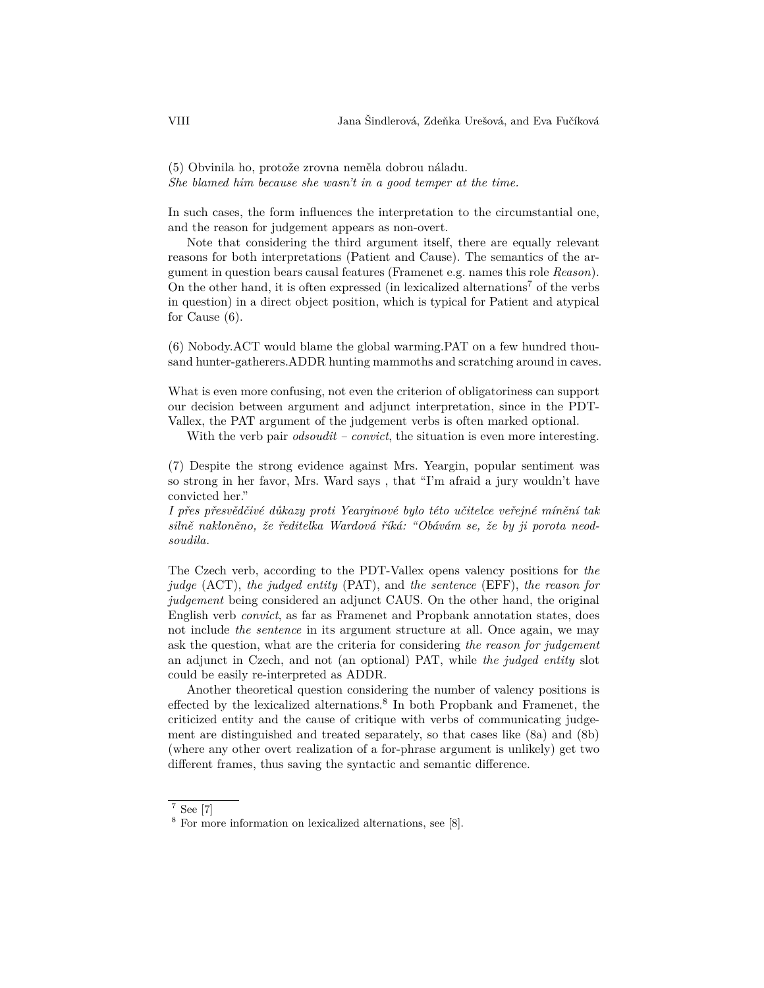(5) Obvinila ho, protože zrovna neměla dobrou náladu. *She blamed him because she wasn't in a good temper at the time.*

In such cases, the form influences the interpretation to the circumstantial one, and the reason for judgement appears as non-overt.

Note that considering the third argument itself, there are equally relevant reasons for both interpretations (Patient and Cause). The semantics of the argument in question bears causal features (Framenet e.g. names this role *Reason*). On the other hand, it is often expressed (in lexicalized alternations<sup>7</sup> of the verbs in question) in a direct object position, which is typical for Patient and atypical for Cause (6).

(6) Nobody.ACT would blame the global warming.PAT on a few hundred thousand hunter-gatherers.ADDR hunting mammoths and scratching around in caves.

What is even more confusing, not even the criterion of obligatoriness can support our decision between argument and adjunct interpretation, since in the PDT-Vallex, the PAT argument of the judgement verbs is often marked optional.

With the verb pair *odsoudit – convict*, the situation is even more interesting.

(7) Despite the strong evidence against Mrs. Yeargin, popular sentiment was so strong in her favor, Mrs. Ward says , that "I'm afraid a jury wouldn't have convicted her."

*I přes přesvědčivé důkazy proti Yearginové bylo této učitelce veřejné mínění tak silně nakloněno, že ředitelka Wardová říká: "Obávám se, že by ji porota neodsoudila.*

The Czech verb, according to the PDT-Vallex opens valency positions for *the judge* (ACT), *the judged entity* (PAT), and *the sentence* (EFF), *the reason for judgement* being considered an adjunct CAUS. On the other hand, the original English verb *convict*, as far as Framenet and Propbank annotation states, does not include *the sentence* in its argument structure at all. Once again, we may ask the question, what are the criteria for considering *the reason for judgement* an adjunct in Czech, and not (an optional) PAT, while *the judged entity* slot could be easily re-interpreted as ADDR.

Another theoretical question considering the number of valency positions is effected by the lexicalized alternations.<sup>8</sup> In both Propbank and Framenet, the criticized entity and the cause of critique with verbs of communicating judgement are distinguished and treated separately, so that cases like (8a) and (8b) (where any other overt realization of a for-phrase argument is unlikely) get two different frames, thus saving the syntactic and semantic difference.

<sup>7</sup> See [7]

<sup>8</sup> For more information on lexicalized alternations, see [8].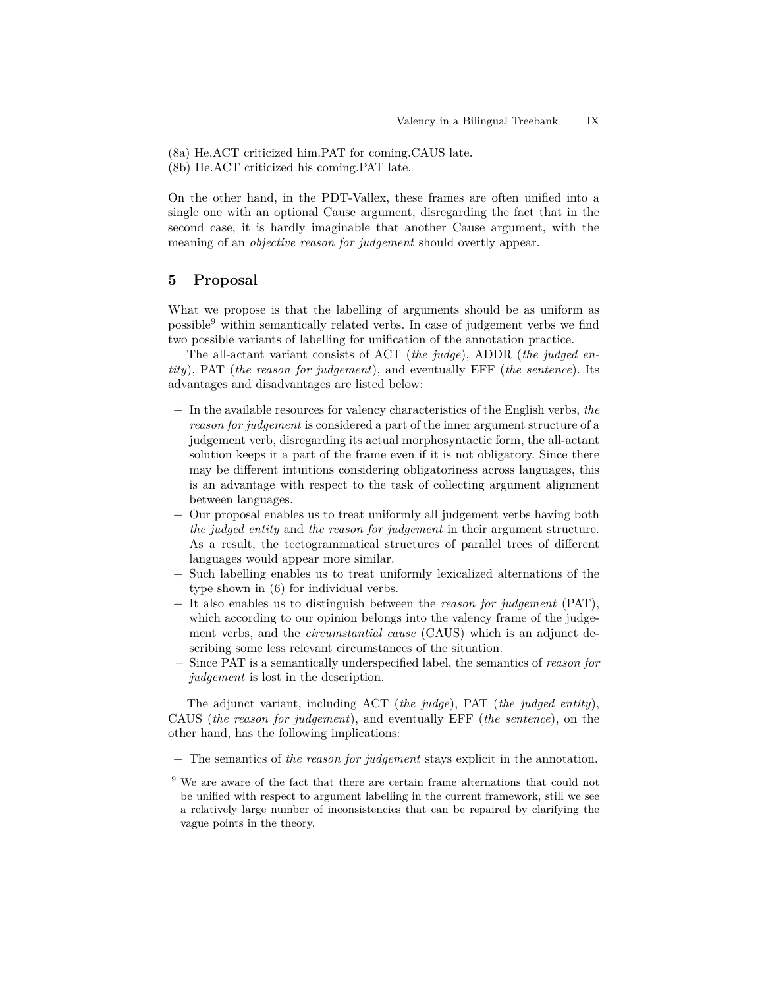- (8a) He.ACT criticized him.PAT for coming.CAUS late.
- (8b) He.ACT criticized his coming.PAT late.

On the other hand, in the PDT-Vallex, these frames are often unified into a single one with an optional Cause argument, disregarding the fact that in the second case, it is hardly imaginable that another Cause argument, with the meaning of an *objective reason for judgement* should overtly appear.

## **5 Proposal**

What we propose is that the labelling of arguments should be as uniform as possible $9$  within semantically related verbs. In case of judgement verbs we find two possible variants of labelling for unification of the annotation practice.

The all-actant variant consists of ACT (*the judge*), ADDR (*the judged entity*), PAT (*the reason for judgement*), and eventually EFF (*the sentence*). Its advantages and disadvantages are listed below:

- + In the available resources for valency characteristics of the English verbs, *the reason for judgement* is considered a part of the inner argument structure of a judgement verb, disregarding its actual morphosyntactic form, the all-actant solution keeps it a part of the frame even if it is not obligatory. Since there may be different intuitions considering obligatoriness across languages, this is an advantage with respect to the task of collecting argument alignment between languages.
- + Our proposal enables us to treat uniformly all judgement verbs having both *the judged entity* and *the reason for judgement* in their argument structure. As a result, the tectogrammatical structures of parallel trees of different languages would appear more similar.
- + Such labelling enables us to treat uniformly lexicalized alternations of the type shown in (6) for individual verbs.
- + It also enables us to distinguish between the *reason for judgement* (PAT), which according to our opinion belongs into the valency frame of the judgement verbs, and the *circumstantial cause* (CAUS) which is an adjunct describing some less relevant circumstances of the situation.
- **–** Since PAT is a semantically underspecified label, the semantics of *reason for judgement* is lost in the description.

The adjunct variant, including ACT (*the judge*), PAT (*the judged entity*), CAUS (*the reason for judgement*), and eventually EFF (*the sentence*), on the other hand, has the following implications:

+ The semantics of *the reason for judgement* stays explicit in the annotation.

 $9$  We are aware of the fact that there are certain frame alternations that could not be unified with respect to argument labelling in the current framework, still we see a relatively large number of inconsistencies that can be repaired by clarifying the vague points in the theory.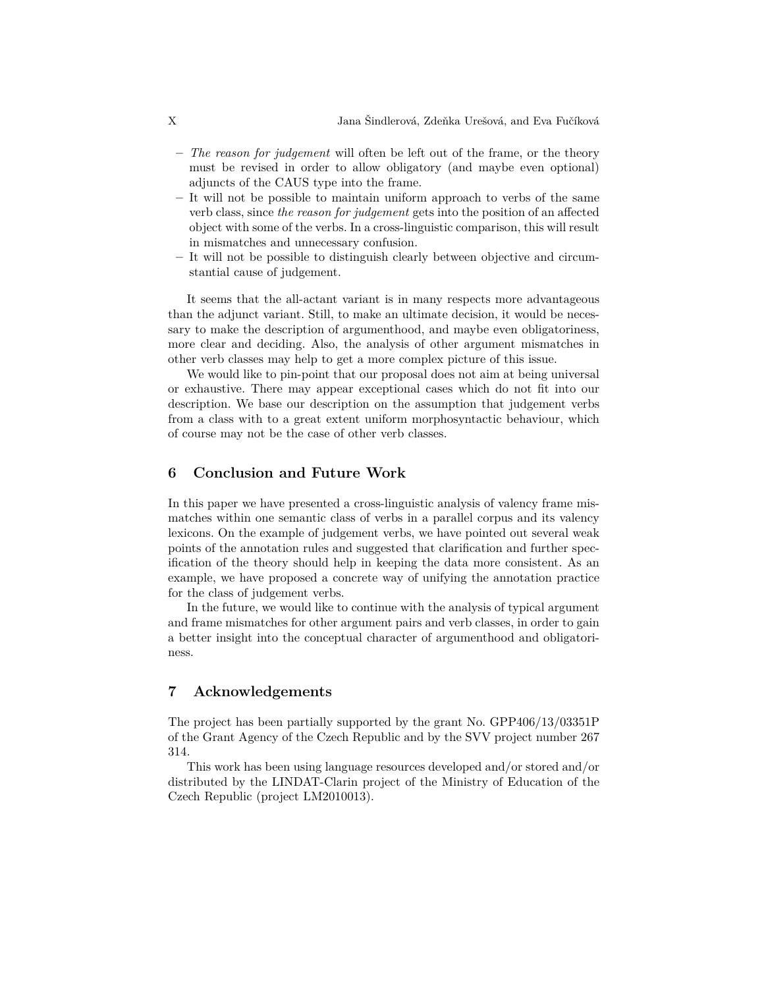- **–** *The reason for judgement* will often be left out of the frame, or the theory must be revised in order to allow obligatory (and maybe even optional) adjuncts of the CAUS type into the frame.
- **–** It will not be possible to maintain uniform approach to verbs of the same verb class, since *the reason for judgement* gets into the position of an affected object with some of the verbs. In a cross-linguistic comparison, this will result in mismatches and unnecessary confusion.
- **–** It will not be possible to distinguish clearly between objective and circumstantial cause of judgement.

It seems that the all-actant variant is in many respects more advantageous than the adjunct variant. Still, to make an ultimate decision, it would be necessary to make the description of argumenthood, and maybe even obligatoriness, more clear and deciding. Also, the analysis of other argument mismatches in other verb classes may help to get a more complex picture of this issue.

We would like to pin-point that our proposal does not aim at being universal or exhaustive. There may appear exceptional cases which do not fit into our description. We base our description on the assumption that judgement verbs from a class with to a great extent uniform morphosyntactic behaviour, which of course may not be the case of other verb classes.

## **6 Conclusion and Future Work**

In this paper we have presented a cross-linguistic analysis of valency frame mismatches within one semantic class of verbs in a parallel corpus and its valency lexicons. On the example of judgement verbs, we have pointed out several weak points of the annotation rules and suggested that clarification and further specification of the theory should help in keeping the data more consistent. As an example, we have proposed a concrete way of unifying the annotation practice for the class of judgement verbs.

In the future, we would like to continue with the analysis of typical argument and frame mismatches for other argument pairs and verb classes, in order to gain a better insight into the conceptual character of argumenthood and obligatoriness.

### **7 Acknowledgements**

The project has been partially supported by the grant No. GPP406/13/03351P of the Grant Agency of the Czech Republic and by the SVV project number 267 314.

This work has been using language resources developed and/or stored and/or distributed by the LINDAT-Clarin project of the Ministry of Education of the Czech Republic (project LM2010013).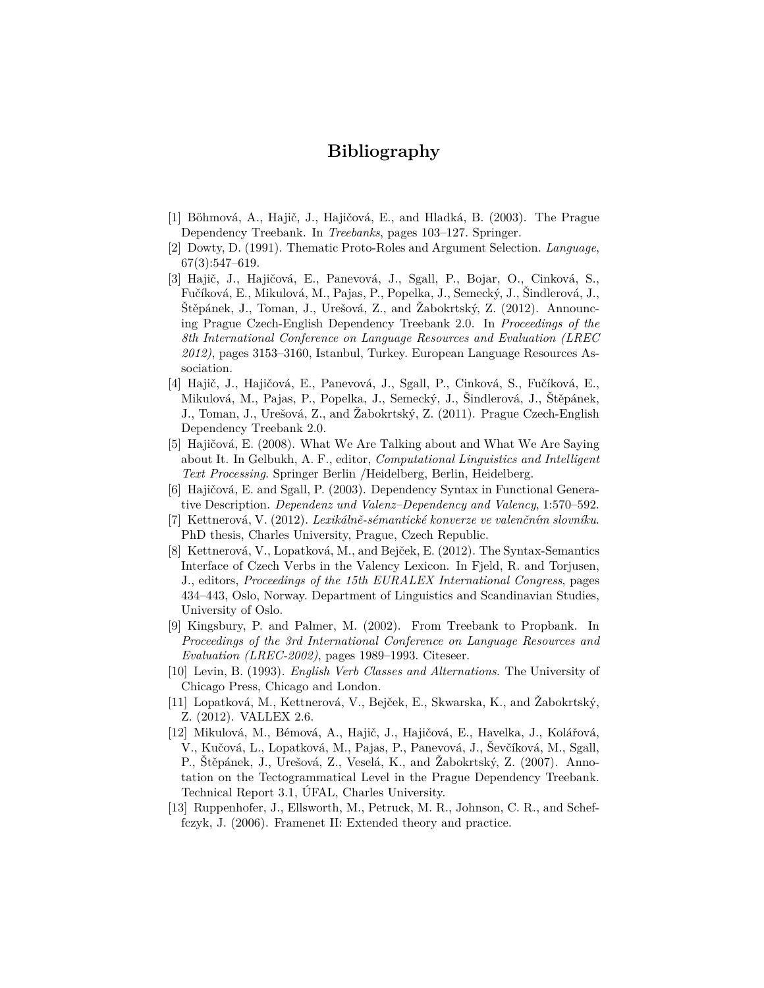## **Bibliography**

- [1] Böhmová, A., Hajič, J., Hajičová, E., and Hladká, B. (2003). The Prague Dependency Treebank. In *Treebanks*, pages 103–127. Springer.
- [2] Dowty, D. (1991). Thematic Proto-Roles and Argument Selection. *Language*, 67(3):547–619.
- [3] Hajič, J., Hajičová, E., Panevová, J., Sgall, P., Bojar, O., Cinková, S., Fučíková, E., Mikulová, M., Pajas, P., Popelka, J., Semecký, J., Šindlerová, J., Štěpánek, J., Toman, J., Urešová, Z., and Žabokrtský, Z. (2012). Announcing Prague Czech-English Dependency Treebank 2.0. In *Proceedings of the 8th International Conference on Language Resources and Evaluation (LREC 2012)*, pages 3153–3160, Istanbul, Turkey. European Language Resources Association.
- [4] Hajič, J., Hajičová, E., Panevová, J., Sgall, P., Cinková, S., Fučíková, E., Mikulová, M., Pajas, P., Popelka, J., Semecký, J., Šindlerová, J., Štěpánek, J., Toman, J., Urešová, Z., and Žabokrtský, Z. (2011). Prague Czech-English Dependency Treebank 2.0.
- [5] Hajičová, E. (2008). What We Are Talking about and What We Are Saying about It. In Gelbukh, A. F., editor, *Computational Linguistics and Intelligent Text Processing*. Springer Berlin /Heidelberg, Berlin, Heidelberg.
- [6] Hajičová, E. and Sgall, P. (2003). Dependency Syntax in Functional Generative Description. *Dependenz und Valenz–Dependency and Valency*, 1:570–592.
- [7] Kettnerová, V. (2012). *Lexikálně-sémantické konverze ve valenčním slovníku*. PhD thesis, Charles University, Prague, Czech Republic.
- [8] Kettnerová, V., Lopatková, M., and Bejček, E. (2012). The Syntax-Semantics Interface of Czech Verbs in the Valency Lexicon. In Fjeld, R. and Torjusen, J., editors, *Proceedings of the 15th EURALEX International Congress*, pages 434–443, Oslo, Norway. Department of Linguistics and Scandinavian Studies, University of Oslo.
- [9] Kingsbury, P. and Palmer, M. (2002). From Treebank to Propbank. In *Proceedings of the 3rd International Conference on Language Resources and Evaluation (LREC-2002)*, pages 1989–1993. Citeseer.
- [10] Levin, B. (1993). *English Verb Classes and Alternations*. The University of Chicago Press, Chicago and London.
- [11] Lopatková, M., Kettnerová, V., Bejček, E., Skwarska, K., and Žabokrtský, Z. (2012). VALLEX 2.6.
- [12] Mikulová, M., Bémová, A., Hajič, J., Hajičová, E., Havelka, J., Kolářová, V., Kučová, L., Lopatková, M., Pajas, P., Panevová, J., Ševčíková, M., Sgall, P., Štěpánek, J., Urešová, Z., Veselá, K., and Žabokrtský, Z. (2007). Annotation on the Tectogrammatical Level in the Prague Dependency Treebank. Technical Report 3.1, ÚFAL, Charles University.
- [13] Ruppenhofer, J., Ellsworth, M., Petruck, M. R., Johnson, C. R., and Scheffczyk, J. (2006). Framenet II: Extended theory and practice.